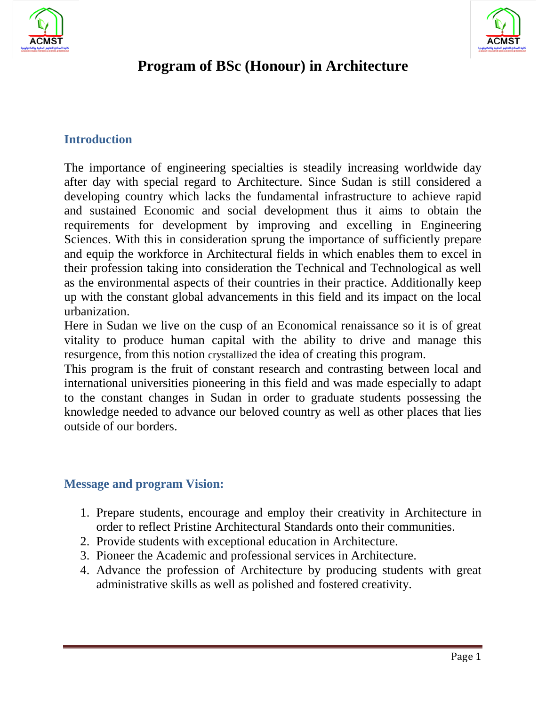



# **Program of BSc (Honour) in Architecture**

## **Introduction**

The importance of engineering specialties is steadily increasing worldwide day after day with special regard to Architecture. Since Sudan is still considered a developing country which lacks the fundamental infrastructure to achieve rapid and sustained Economic and social development thus it aims to obtain the requirements for development by improving and excelling in Engineering Sciences. With this in consideration sprung the importance of sufficiently prepare and equip the workforce in Architectural fields in which enables them to excel in their profession taking into consideration the Technical and Technological as well as the environmental aspects of their countries in their practice. Additionally keep up with the constant global advancements in this field and its impact on the local urbanization.

Here in Sudan we live on the cusp of an Economical renaissance so it is of great vitality to produce human capital with the ability to drive and manage this resurgence, from this notion crystallized the idea of creating this program.

This program is the fruit of constant research and contrasting between local and international universities pioneering in this field and was made especially to adapt to the constant changes in Sudan in order to graduate students possessing the knowledge needed to advance our beloved country as well as other places that lies outside of our borders.

### **Message and program Vision:**

- 1. Prepare students, encourage and employ their creativity in Architecture in order to reflect Pristine Architectural Standards onto their communities.
- 2. Provide students with exceptional education in Architecture.
- 3. Pioneer the Academic and professional services in Architecture.
- 4. Advance the profession of Architecture by producing students with great administrative skills as well as polished and fostered creativity.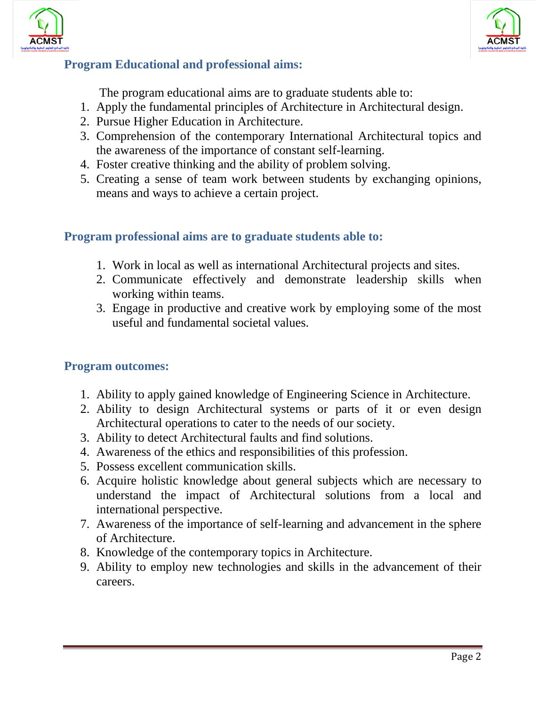



## **Program Educational and professional aims:**

The program educational aims are to graduate students able to:

- 1. Apply the fundamental principles of Architecture in Architectural design.
- 2. Pursue Higher Education in Architecture.
- 3. Comprehension of the contemporary International Architectural topics and the awareness of the importance of constant self-learning.
- 4. Foster creative thinking and the ability of problem solving.
- 5. Creating a sense of team work between students by exchanging opinions, means and ways to achieve a certain project.

### **Program professional aims are to graduate students able to:**

- 1. Work in local as well as international Architectural projects and sites.
- 2. Communicate effectively and demonstrate leadership skills when working within teams.
- 3. Engage in productive and creative work by employing some of the most useful and fundamental societal values.

#### **Program outcomes:**

- 1. Ability to apply gained knowledge of Engineering Science in Architecture.
- 2. Ability to design Architectural systems or parts of it or even design Architectural operations to cater to the needs of our society.
- 3. Ability to detect Architectural faults and find solutions.
- 4. Awareness of the ethics and responsibilities of this profession.
- 5. Possess excellent communication skills.
- 6. Acquire holistic knowledge about general subjects which are necessary to understand the impact of Architectural solutions from a local and international perspective.
- 7. Awareness of the importance of self-learning and advancement in the sphere of Architecture.
- 8. Knowledge of the contemporary topics in Architecture.
- 9. Ability to employ new technologies and skills in the advancement of their careers.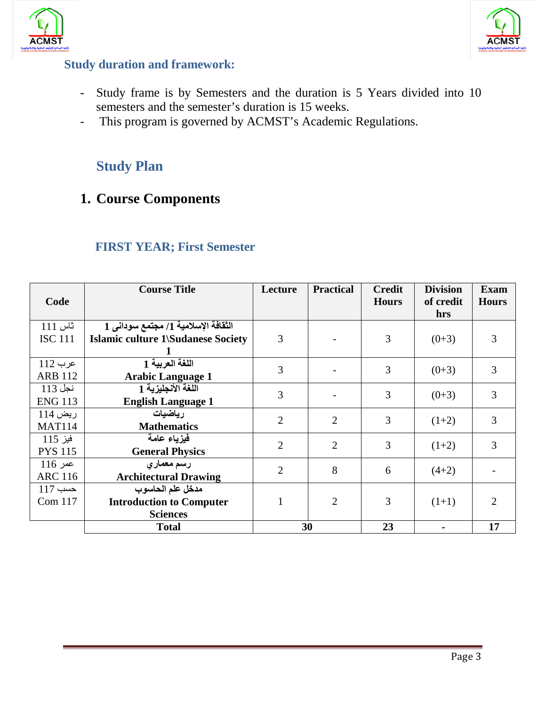



#### **Study duration and framework:**

- Study frame is by Semesters and the duration is 5 Years divided into 10 semesters and the semester's duration is 15 weeks.
- This program is governed by ACMST's Academic Regulations.

# **Study Plan**

# **1. Course Components**

| Code                        | <b>Course Title</b>                                                              | Lecture        | <b>Practical</b> | <b>Credit</b><br><b>Hours</b> | <b>Division</b><br>of credit<br>hrs | <b>Exam</b><br><b>Hours</b> |
|-----------------------------|----------------------------------------------------------------------------------|----------------|------------------|-------------------------------|-------------------------------------|-----------------------------|
| ثاس 111<br><b>ISC 111</b>   | الثقافة الإسلامية 1/ مجتمع سوداني 1<br><b>Islamic culture 1\Sudanese Society</b> | 3              |                  | 3                             | $(0+3)$                             | 3                           |
| عرب 112<br><b>ARB 112</b>   | اللغة العربية 1<br><b>Arabic Language 1</b>                                      | 3              |                  | 3                             | $(0+3)$                             | 3                           |
| نجل 113<br><b>ENG 113</b>   | اللغة الأنجليزية 1<br><b>English Language 1</b>                                  | 3              |                  | 3                             | $(0+3)$                             | 3                           |
| ريض 114<br><b>MAT114</b>    | ر ياضيات<br><b>Mathematics</b>                                                   | $\overline{2}$ | $\overline{2}$   | 3                             | $(1+2)$                             | 3                           |
| فيز 115<br><b>PYS 115</b>   | فيزياء عامة<br><b>General Physics</b>                                            | $\overline{2}$ | $\overline{2}$   | 3                             | $(1+2)$                             | 3                           |
| $116$ عمر<br><b>ARC 116</b> | رسم معماري<br><b>Architectural Drawing</b>                                       | $\overline{2}$ | 8                | 6                             | $(4+2)$                             |                             |
| $117$ حسب<br>Com 117        | مدخل علم الحاسوب<br><b>Introduction to Computer</b><br><b>Sciences</b>           | $\mathbf{1}$   | 2                | 3                             | $(1+1)$                             | $\mathcal{D}_{\mathcal{L}}$ |
|                             | <b>Total</b>                                                                     |                | 30               | 23                            |                                     | 17                          |

## **FIRST YEAR; First Semester**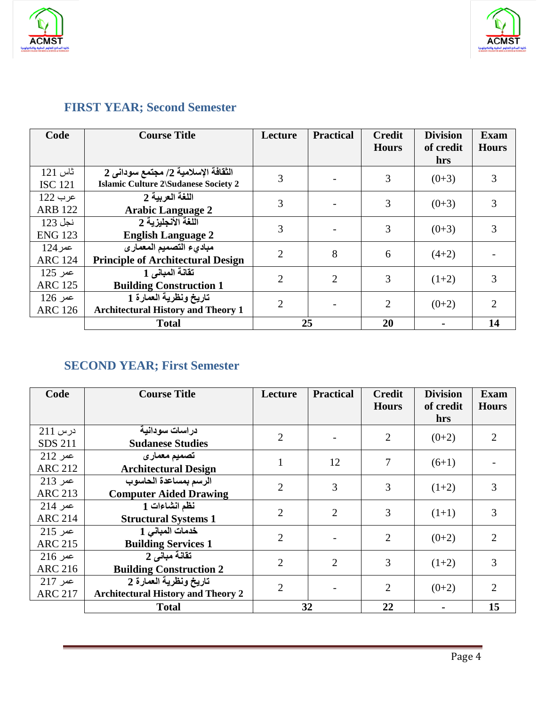



# **FIRST YEAR; Second Semester**

| Code           | <b>Course Title</b>                         | Lecture        | <b>Practical</b> | <b>Credit</b><br><b>Hours</b> | <b>Division</b><br>of credit | Exam<br><b>Hours</b>        |
|----------------|---------------------------------------------|----------------|------------------|-------------------------------|------------------------------|-----------------------------|
|                |                                             |                |                  |                               | hrs                          |                             |
| ثاس 121        | الثقافة الإسلامية 2/ مجتمع سودانى 2         | 3              |                  | 3                             | $(0+3)$                      | 3                           |
| <b>ISC 121</b> | <b>Islamic Culture 2\Sudanese Society 2</b> |                |                  |                               |                              |                             |
| عرب 122        | اللغة العربية 2                             | 3              |                  | 3                             |                              | 3                           |
| <b>ARB 122</b> | <b>Arabic Language 2</b>                    |                |                  |                               | $(0+3)$                      |                             |
| نجل 123        | اللغة الأنجليزية 2                          | 3              |                  | 3                             | $(0+3)$                      | 3                           |
| <b>ENG 123</b> | <b>English Language 2</b>                   |                |                  |                               |                              |                             |
| $124$ عمر      | مباديء التصميم المعمارى                     | $\overline{2}$ | 8                | 6                             | $(4+2)$                      |                             |
| <b>ARC 124</b> | <b>Principle of Architectural Design</b>    |                |                  |                               |                              |                             |
| عمر 125        | تقانة المباني 1                             | $\overline{2}$ | $\overline{2}$   | 3                             | $(1+2)$                      | 3                           |
| <b>ARC 125</b> | <b>Building Construction 1</b>              |                |                  |                               |                              |                             |
| عمر 126        | تاريخ ونظرية العمارة 1                      | $\overline{2}$ |                  | $\overline{2}$                | $(0+2)$                      | $\mathcal{D}_{\mathcal{L}}$ |
| <b>ARC 126</b> | <b>Architectural History and Theory 1</b>   |                |                  |                               |                              |                             |
|                | <b>Total</b>                                |                | 25               | 20                            |                              | 14                          |

# **SECOND YEAR; First Semester**

| Code           | <b>Course Title</b>                       | Lecture        | <b>Practical</b> | <b>Credit</b><br><b>Hours</b> | <b>Division</b><br>of credit | <b>Exam</b><br><b>Hours</b> |
|----------------|-------------------------------------------|----------------|------------------|-------------------------------|------------------------------|-----------------------------|
|                |                                           |                |                  |                               | hrs                          |                             |
| درس 211        | دراسات سودانية                            | $\overline{2}$ |                  | $\overline{2}$                | $(0+2)$                      | $\overline{2}$              |
| <b>SDS 211</b> | <b>Sudanese Studies</b>                   |                |                  |                               |                              |                             |
| $212$ عمر      | تصميم معمارى                              | 1              | 12               | 7                             |                              |                             |
| <b>ARC 212</b> | <b>Architectural Design</b>               |                |                  |                               | $(6+1)$                      |                             |
| $213$ عمر      | الرسم بمساعدة الحاسوب                     | $\overline{2}$ | 3                | 3                             |                              | 3                           |
| <b>ARC 213</b> | <b>Computer Aided Drawing</b>             |                |                  |                               | $(1+2)$                      |                             |
| عمر 214        | نظم انشاءات 1                             | $\overline{2}$ | $\overline{2}$   | 3                             | $(1+1)$                      | 3                           |
| <b>ARC 214</b> | <b>Structural Systems 1</b>               |                |                  |                               |                              |                             |
| $215$ عمر      | خدمات المباني 1                           | $\overline{2}$ |                  | $\overline{2}$                | $(0+2)$                      | $\overline{2}$              |
| <b>ARC 215</b> | <b>Building Services 1</b>                |                |                  |                               |                              |                             |
| $216$ عمر      | تقانة مباني 2                             | $\overline{2}$ | $\overline{2}$   | 3                             | $(1+2)$                      | 3                           |
| <b>ARC 216</b> | <b>Building Construction 2</b>            |                |                  |                               |                              |                             |
| عمر 217        | تاريخ ونظرية العمارة 2                    | $\overline{2}$ |                  | $\overline{2}$                | $(0+2)$                      | $\overline{2}$              |
| <b>ARC 217</b> | <b>Architectural History and Theory 2</b> |                |                  |                               |                              |                             |
|                | <b>Total</b>                              |                | 32               | 22                            |                              | 15                          |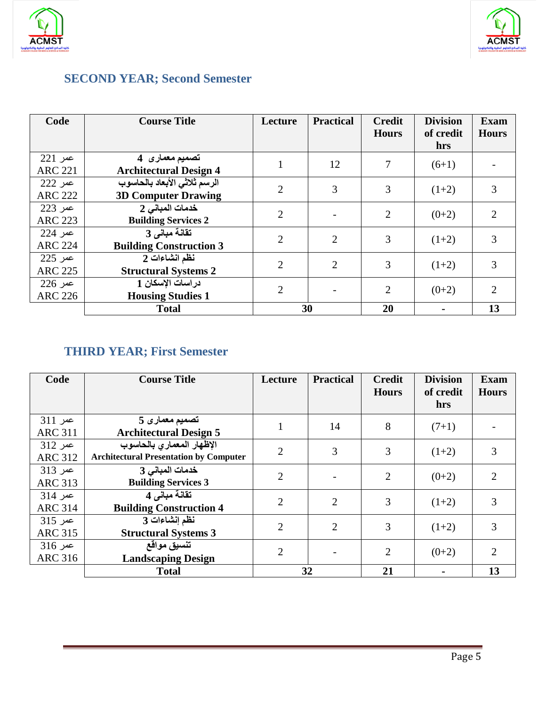



# **SECOND YEAR; Second Semester**

| Code           | <b>Course Title</b>            | Lecture        | <b>Practical</b> | <b>Credit</b><br><b>Hours</b> | <b>Division</b><br>of credit | <b>Exam</b><br><b>Hours</b> |
|----------------|--------------------------------|----------------|------------------|-------------------------------|------------------------------|-----------------------------|
|                |                                |                |                  |                               | hrs                          |                             |
| $221$ عمر      | تصميم معمار ی4                 |                | 12               |                               | $(6+1)$                      |                             |
| <b>ARC 221</b> | <b>Architectural Design 4</b>  |                |                  |                               |                              |                             |
| عمر 222        | الرسم ثلاثي الأبعاد بالحاسوب   | $\overline{2}$ | 3                | 3                             | $(1+2)$                      | 3                           |
| <b>ARC 222</b> | <b>3D Computer Drawing</b>     |                |                  |                               |                              |                             |
| عمر 223        | خدمات المباني 2                | $\overline{2}$ |                  | $\overline{2}$                | $(0+2)$                      | $\overline{2}$              |
| <b>ARC 223</b> | <b>Building Services 2</b>     |                |                  |                               |                              |                             |
| عمر 224        | تقانة مباني 3                  | $\overline{2}$ | $\overline{2}$   | 3                             | $(1+2)$                      | 3                           |
| <b>ARC 224</b> | <b>Building Construction 3</b> |                |                  |                               |                              |                             |
| عمر 225        | نظم انشاءات 2                  | $\overline{2}$ | $\overline{2}$   | 3                             | $(1+2)$                      | 3                           |
| <b>ARC 225</b> | <b>Structural Systems 2</b>    |                |                  |                               |                              |                             |
| عمر 226        | دراسات الإسكان 1               | $\overline{2}$ |                  | $\overline{2}$                | $(0+2)$                      | $\overline{2}$              |
| <b>ARC 226</b> | <b>Housing Studies 1</b>       |                |                  |                               |                              |                             |
|                | <b>Total</b>                   |                | 30               | 20                            |                              | 13                          |

# **THIRD YEAR; First Semester**

| Code                        | <b>Course Title</b>                                                        | Lecture        | <b>Practical</b> | <b>Credit</b><br><b>Hours</b> | <b>Division</b><br>of credit<br>hrs | <b>Exam</b><br><b>Hours</b> |
|-----------------------------|----------------------------------------------------------------------------|----------------|------------------|-------------------------------|-------------------------------------|-----------------------------|
| عمر 311<br><b>ARC 311</b>   | تصميم معمار ي 5<br><b>Architectural Design 5</b>                           |                | 14               | 8                             | $(7+1)$                             |                             |
| عمر 312<br><b>ARC 312</b>   | الإظهار المعمارى بالحاسوب<br><b>Architectural Presentation by Computer</b> | $\overline{2}$ | 3                | 3                             | $(1+2)$                             | 3                           |
| عمر 313<br><b>ARC 313</b>   | خدمات المباني 3<br><b>Building Services 3</b>                              | $\overline{2}$ |                  | $\overline{2}$                | $(0+2)$                             | 2                           |
| $314$ عمر<br><b>ARC 314</b> | تقانة مباني 4<br><b>Building Construction 4</b>                            | $\overline{2}$ | $\overline{2}$   | 3                             | $(1+2)$                             | 3                           |
| عمر 315<br><b>ARC 315</b>   | نظم إنشاءات 3<br><b>Structural Systems 3</b>                               | $\overline{2}$ | $\overline{2}$   | 3                             | $(1+2)$                             | 3                           |
| عمر 316<br><b>ARC 316</b>   | تنسيق مواقع<br><b>Landscaping Design</b>                                   | $\overline{2}$ |                  | $\overline{2}$                | $(0+2)$                             | $\overline{2}$              |
|                             | <b>Total</b>                                                               | 32             |                  | 21                            |                                     | 13                          |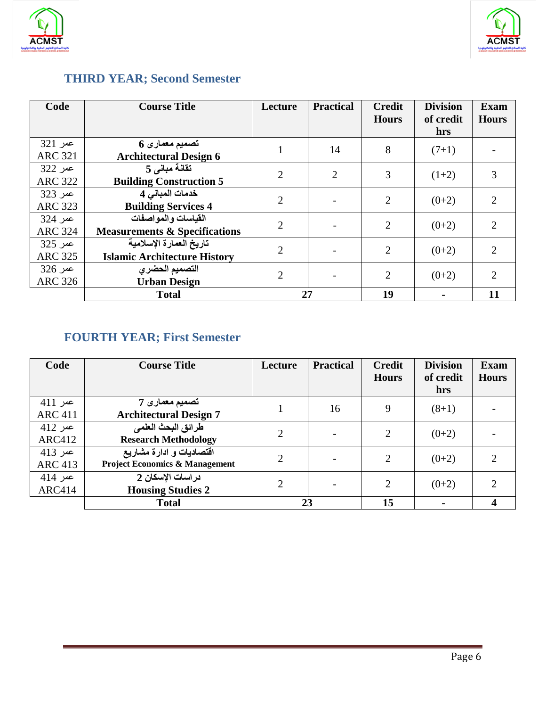



# **THIRD YEAR; Second Semester**

| Code                      | <b>Course Title</b>                                             | Lecture        | <b>Practical</b> | <b>Credit</b><br><b>Hours</b> | <b>Division</b><br>of credit<br><b>hrs</b> | <b>Exam</b><br><b>Hours</b> |
|---------------------------|-----------------------------------------------------------------|----------------|------------------|-------------------------------|--------------------------------------------|-----------------------------|
| عمر 321<br><b>ARC 321</b> | تصميم معماري 6<br><b>Architectural Design 6</b>                 |                | 14               | 8                             | $(7+1)$                                    |                             |
| عمر 322<br><b>ARC 322</b> | تقانة مباني 5<br><b>Building Construction 5</b>                 | $\overline{2}$ | $\overline{2}$   | 3                             | $(1+2)$                                    | 3                           |
| عمر 323<br><b>ARC 323</b> | خدمات المباني 4<br><b>Building Services 4</b>                   | $\overline{2}$ |                  | $\overline{2}$                | $(0+2)$                                    | $\overline{2}$              |
| عمر 324<br><b>ARC 324</b> | القياسات والمواصفات<br><b>Measurements &amp; Specifications</b> | $\overline{2}$ |                  | 2                             | $(0+2)$                                    | $\overline{2}$              |
| عمر 325<br><b>ARC 325</b> | تاريخ العمارة الإسلامية<br><b>Islamic Architecture History</b>  | $\overline{2}$ |                  | $\overline{2}$                | $(0+2)$                                    | $\overline{2}$              |
| عمر 326<br><b>ARC 326</b> | التصميم الحضرى<br><b>Urban Design</b>                           | $\overline{2}$ |                  | $\overline{2}$                | $(0+2)$                                    | $\mathcal{D}_{\mathcal{L}}$ |
|                           | <b>Total</b>                                                    |                | 27               | 19                            |                                            | 11                          |

# **FOURTH YEAR; First Semester**

| Code                      | <b>Course Title</b>                                                   | Lecture        | <b>Practical</b> | <b>Credit</b><br><b>Hours</b> | <b>Division</b><br>of credit<br>hrs | <b>Exam</b><br><b>Hours</b> |
|---------------------------|-----------------------------------------------------------------------|----------------|------------------|-------------------------------|-------------------------------------|-----------------------------|
| عمر 411<br><b>ARC 411</b> | تصميم معمار ي7<br><b>Architectural Design 7</b>                       |                | 16               | 9                             | $(8+1)$                             |                             |
| عمر 412<br><b>ARC412</b>  | طرائق البحث العلمي<br><b>Research Methodology</b>                     | $\overline{2}$ |                  | 2                             | $(0+2)$                             |                             |
| عمر 413<br><b>ARC 413</b> | اقتصاديات و ادارة مشاريع<br><b>Project Economics &amp; Management</b> | $\overline{2}$ |                  | 2                             | $(0+2)$                             | ◠                           |
| عمر 414<br><b>ARC414</b>  | دراسات الإسكان 2<br><b>Housing Studies 2</b>                          | $\overline{2}$ |                  | $\overline{2}$                | $(0+2)$                             |                             |
|                           | <b>Total</b>                                                          |                | 23               | 15                            |                                     | 4                           |